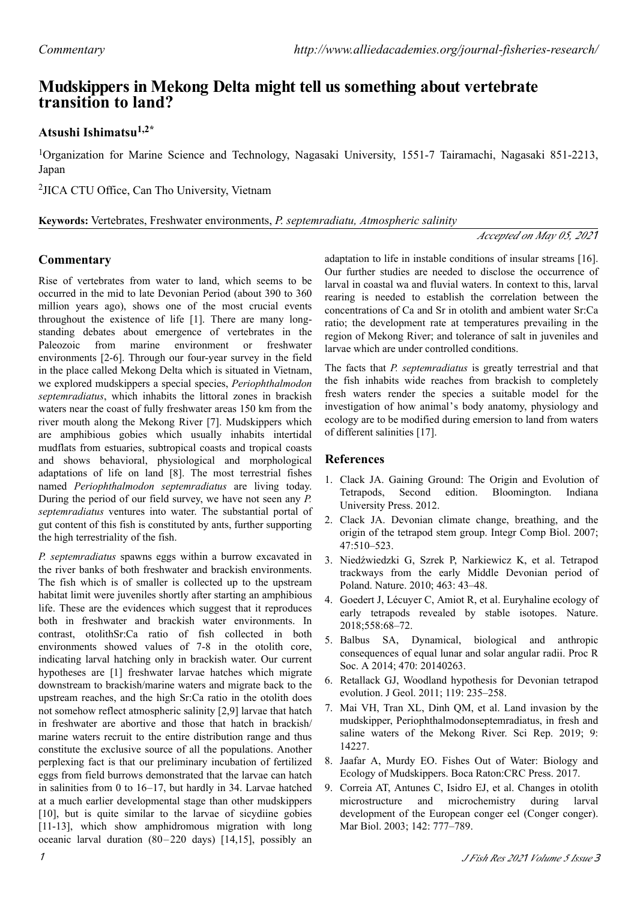# **transition to land? Mudskippers in Mekong Delta might tell us something about vertebrate**

# **Atsushi Ishimatsu1,2\***

<sup>1</sup>Organization for Marine Science and Technology, Nagasaki University, 1551-7 Tairamachi, Nagasaki 851-2213, Japan

2 JICA CTU Office, Can Tho University, Vietnam

**Keywords:** Vertebrates, Freshwater environments, *P. septemradiatu, Atmospheric salinity*

#### *Accepted on May 05, 202*1

## **Commentary**

Rise of vertebrates from water to land, which seems to be occurred in the mid to late Devonian Period (about 390 to 360 million years ago), shows one of the most crucial events throughout the existence of life [1]. There are many longstanding debates about emergence of vertebrates in the Paleozoic from marine environment or freshwater environments [2-6]. Through our four-year survey in the field in the place called Mekong Delta which is situated in Vietnam, we explored mudskippers a special species, *Periophthalmodon septemradiatus*, which inhabits the littoral zones in brackish waters near the coast of fully freshwater areas 150 km from the river mouth along the Mekong River [7]. Mudskippers which are amphibious gobies which usually inhabits intertidal mudflats from estuaries, subtropical coasts and tropical coasts and shows behavioral, physiological and morphological adaptations of life on land [8]. The most terrestrial fishes named *Periophthalmodon septemradiatus* are living today. During the period of our field survey, we have not seen any *P. septemradiatus* ventures into water. The substantial portal of gut content of this fish is constituted by ants, further supporting the high terrestriality of the fish.

*P. septemradiatus* spawns eggs within a burrow excavated in the river banks of both freshwater and brackish environments. The fish which is of smaller is collected up to the upstream habitat limit were juveniles shortly after starting an amphibious life. These are the evidences which suggest that it reproduces both in freshwater and brackish water environments. In contrast, otolithSr:Ca ratio of fish collected in both environments showed values of 7-8 in the otolith core, indicating larval hatching only in brackish water. Our current hypotheses are [1] freshwater larvae hatches which migrate downstream to brackish/marine waters and migrate back to the upstream reaches, and the high Sr:Ca ratio in the otolith does not somehow reflect atmospheric salinity [2,9] larvae that hatch in freshwater are abortive and those that hatch in brackish/ marine waters recruit to the entire distribution range and thus constitute the exclusive source of all the populations. Another perplexing fact is that our preliminary incubation of fertilized eggs from field burrows demonstrated that the larvae can hatch in salinities from 0 to 16–17, but hardly in 34. Larvae hatched at a much earlier developmental stage than other mudskippers [10], but is quite similar to the larvae of sicydiine gobies [11-13], which show amphidromous migration with long oceanic larval duration (80–220 days) [14,15], possibly an

adaptation to life in instable conditions of insular streams [16]. Our further studies are needed to disclose the occurrence of larval in coastal wa and fluvial waters. In context to this, larval rearing is needed to establish the correlation between the concentrations of Ca and Sr in otolith and ambient water Sr:Ca ratio; the development rate at temperatures prevailing in the region of Mekong River; and tolerance of salt in juveniles and larvae which are under controlled conditions.

The facts that *P. septemradiatus* is greatly terrestrial and that the fish inhabits wide reaches from brackish to completely fresh waters render the species a suitable model for the investigation of how animal's body anatomy, physiology and ecology are to be modified during emersion to land from waters of different salinities [17].

## **References**

- 1. Clack JA. Gaining Ground: The Origin and Evolution of Tetrapods, Second edition. Bloomington. Indiana University Press. 2012.
- 2. Clack JA. Devonian climate change, breathing, and the origin of the tetrapod stem group. Integr Comp Biol. 2007; 47:510–523.
- 3. Niedźwiedzki G, Szrek P, Narkiewicz K, et al. Tetrapod trackways from the early Middle Devonian period of Poland. Nature. 2010; 463: 43–48.
- 4. Goedert J, Lécuyer C, Amiot R, et al. Euryhaline ecology of early tetrapods revealed by stable isotopes. Nature. 2018;558:68–72.
- 5. Balbus SA, Dynamical, biological and anthropic consequences of equal lunar and solar angular radii. Proc R Soc. A 2014; 470: 20140263.
- 6. Retallack GJ, Woodland hypothesis for Devonian tetrapod evolution. J Geol. 2011; 119: 235–258.
- 7. Mai VH, Tran XL, Dinh QM, et al. Land invasion by the mudskipper, Periophthalmodonseptemradiatus, in fresh and saline waters of the Mekong River. Sci Rep. 2019; 9: 14227.
- 8. Jaafar A, Murdy EO. Fishes Out of Water: Biology and Ecology of Mudskippers. Boca Raton:CRC Press. 2017.
- 9. Correia AT, Antunes C, Isidro EJ, et al. Changes in otolith microstructure and microchemistry during larval development of the European conger eel (Conger conger). Mar Biol. 2003; 142: 777–789.